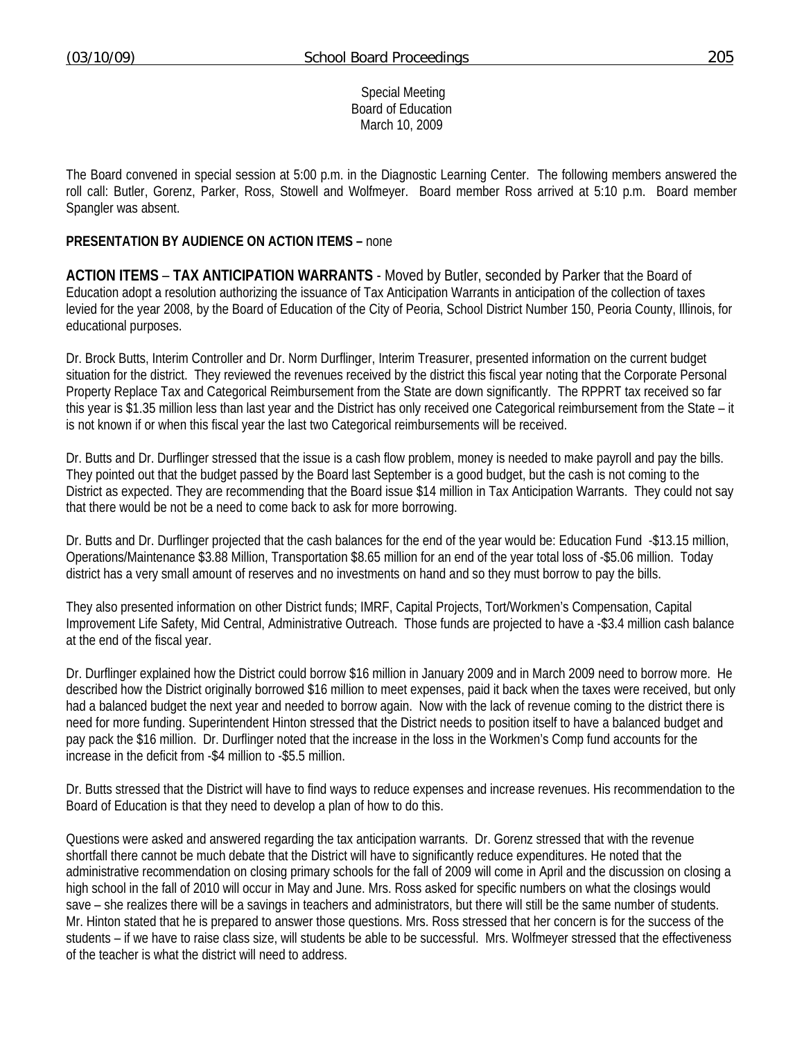Special Meeting Board of Education March 10, 2009

The Board convened in special session at 5:00 p.m. in the Diagnostic Learning Center. The following members answered the roll call: Butler, Gorenz, Parker, Ross, Stowell and Wolfmeyer. Board member Ross arrived at 5:10 p.m. Board member Spangler was absent.

## **PRESENTATION BY AUDIENCE ON ACTION ITEMS –** none

**ACTION ITEMS** – **TAX ANTICIPATION WARRANTS** - Moved by Butler, seconded by Parker that the Board of Education adopt a resolution authorizing the issuance of Tax Anticipation Warrants in anticipation of the collection of taxes levied for the year 2008, by the Board of Education of the City of Peoria, School District Number 150, Peoria County, Illinois, for educational purposes.

Dr. Brock Butts, Interim Controller and Dr. Norm Durflinger, Interim Treasurer, presented information on the current budget situation for the district. They reviewed the revenues received by the district this fiscal year noting that the Corporate Personal Property Replace Tax and Categorical Reimbursement from the State are down significantly. The RPPRT tax received so far this year is \$1.35 million less than last year and the District has only received one Categorical reimbursement from the State – it is not known if or when this fiscal year the last two Categorical reimbursements will be received.

Dr. Butts and Dr. Durflinger stressed that the issue is a cash flow problem, money is needed to make payroll and pay the bills. They pointed out that the budget passed by the Board last September is a good budget, but the cash is not coming to the District as expected. They are recommending that the Board issue \$14 million in Tax Anticipation Warrants. They could not say that there would be not be a need to come back to ask for more borrowing.

Dr. Butts and Dr. Durflinger projected that the cash balances for the end of the year would be: Education Fund -\$13.15 million, Operations/Maintenance \$3.88 Million, Transportation \$8.65 million for an end of the year total loss of -\$5.06 million. Today district has a very small amount of reserves and no investments on hand and so they must borrow to pay the bills.

They also presented information on other District funds; IMRF, Capital Projects, Tort/Workmen's Compensation, Capital Improvement Life Safety, Mid Central, Administrative Outreach. Those funds are projected to have a -\$3.4 million cash balance at the end of the fiscal year.

Dr. Durflinger explained how the District could borrow \$16 million in January 2009 and in March 2009 need to borrow more. He described how the District originally borrowed \$16 million to meet expenses, paid it back when the taxes were received, but only had a balanced budget the next year and needed to borrow again. Now with the lack of revenue coming to the district there is need for more funding. Superintendent Hinton stressed that the District needs to position itself to have a balanced budget and pay pack the \$16 million. Dr. Durflinger noted that the increase in the loss in the Workmen's Comp fund accounts for the increase in the deficit from -\$4 million to -\$5.5 million.

Dr. Butts stressed that the District will have to find ways to reduce expenses and increase revenues. His recommendation to the Board of Education is that they need to develop a plan of how to do this.

Questions were asked and answered regarding the tax anticipation warrants. Dr. Gorenz stressed that with the revenue shortfall there cannot be much debate that the District will have to significantly reduce expenditures. He noted that the administrative recommendation on closing primary schools for the fall of 2009 will come in April and the discussion on closing a high school in the fall of 2010 will occur in May and June. Mrs. Ross asked for specific numbers on what the closings would save – she realizes there will be a savings in teachers and administrators, but there will still be the same number of students. Mr. Hinton stated that he is prepared to answer those questions. Mrs. Ross stressed that her concern is for the success of the students – if we have to raise class size, will students be able to be successful. Mrs. Wolfmeyer stressed that the effectiveness of the teacher is what the district will need to address.